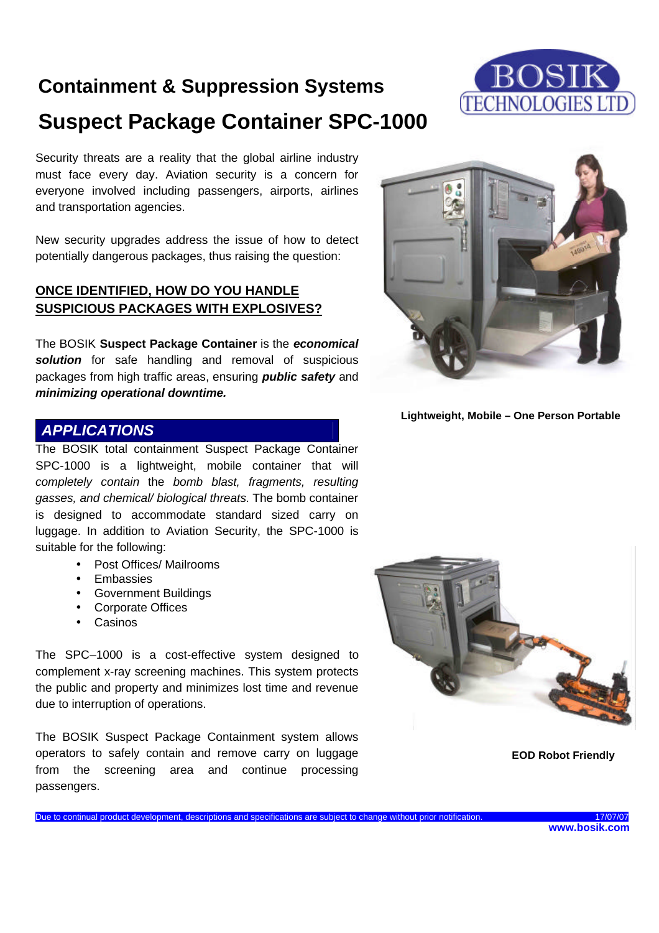## **Containment & Suppression Systems Suspect Package Container SPC-1000**



Security threats are a reality that the global airline industry must face every day. Aviation security is a concern for everyone involved including passengers, airports, airlines and transportation agencies.

New security upgrades address the issue of how to detect potentially dangerous packages, thus raising the question:

### **ONCE IDENTIFIED, HOW DO YOU HANDLE SUSPICIOUS PACKAGES WITH EXPLOSIVES?**

The BOSIK **Suspect Package Container** is the *economical solution* for safe handling and removal of suspicious packages from high traffic areas, ensuring *public safety* and *minimizing operational downtime.*

### *APPLICATIONS*

The BOSIK total containment Suspect Package Container SPC-1000 is a lightweight, mobile container that will *completely contain* the *bomb blast, fragments, resulting gasses, and chemical/ biological threats*. The bomb container is designed to accommodate standard sized carry on luggage. In addition to Aviation Security, the SPC-1000 is suitable for the following:

- Post Offices/ Mailrooms
- **Embassies**
- Government Buildings
- Corporate Offices
- Casinos

The SPC–1000 is a cost-effective system designed to complement x-ray screening machines. This system protects the public and property and minimizes lost time and revenue due to interruption of operations.

The BOSIK Suspect Package Containment system allows operators to safely contain and remove carry on luggage from the screening area and continue processing passengers.



**Lightweight, Mobile – One Person Portable**



**EOD Robot Friendly**